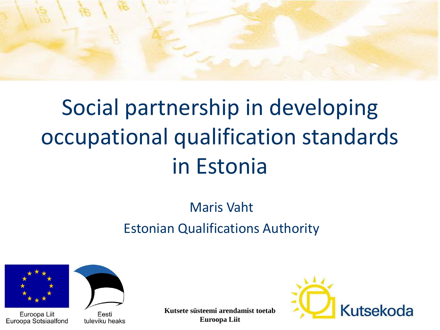

# Social partnership in developing occupational qualification standards in Estonia

#### Maris Vaht Estonian Qualifications Authority



Euroopa Liit Euroopa Sotsiaalfond



Eesti tuleviku heaks **Kutsete süsteemi arendamist toetab Euroopa Liit**

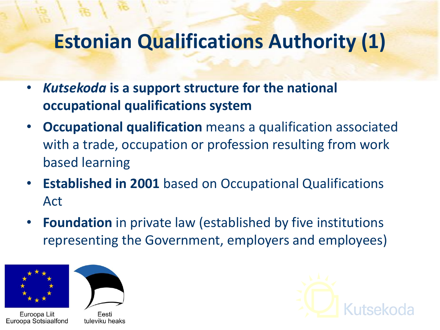### **Estonian Qualifications Authority (1)**

- *Kutsekoda* **is a support structure for the national occupational qualifications system**
- **Occupational qualification** means a qualification associated with a trade, occupation or profession resulting from work based learning
- **Established in 2001** based on Occupational Qualifications Act
- **Foundation** in private law (established by five institutions representing the Government, employers and employees)





Euroopa Liit Euroopa Sotsiaalfond

Eesti tuleviku heaks

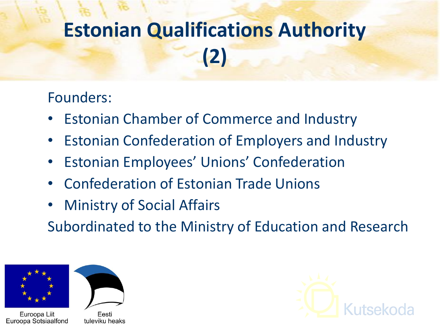# **Estonian Qualifications Authority (2)**

#### Founders:

- Estonian Chamber of Commerce and Industry
- Estonian Confederation of Employers and Industry
- Estonian Employees' Unions' Confederation
- Confederation of Estonian Trade Unions
- **Ministry of Social Affairs**

Subordinated to the Ministry of Education and Research



Euroopa Liit Euroopa Sotsiaalfond



Eesti tuleviku heaks

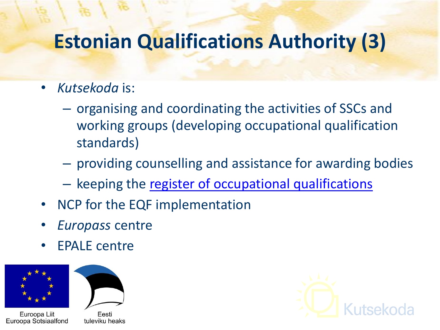## **Estonian Qualifications Authority (3)**

- *Kutsekoda* is:
	- organising and coordinating the activities of SSCs and working groups (developing occupational qualification standards)
	- providing counselling and assistance for awarding bodies
	- keeping the [register of occupational qualifications](http://www.kutsekoda.ee/en/kutseregister)
- NCP for the EQF implementation
- *Europass* centre
- EPALE centre





Euroopa Liit Euroopa Sotsiaalfond

Eesti tuleviku heaks

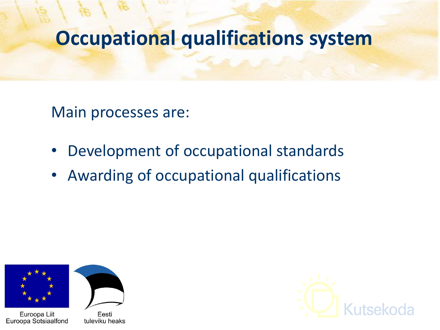#### **Occupational qualifications system**

Main processes are:

- Development of occupational standards
- Awarding of occupational qualifications



Euroopa Liit Euroopa Sotsiaalfond



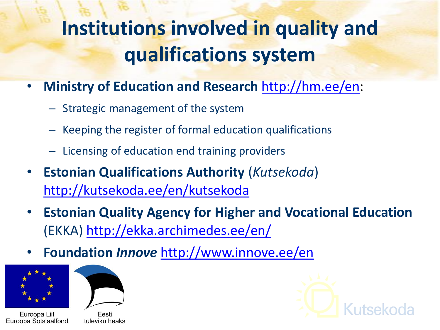# **Institutions involved in quality and qualifications system**

- **Ministry of Education and Research** [http://hm.ee/en:](http://hm.ee/en)
	- Strategic management of the system
	- Keeping the register of formal education qualifications
	- Licensing of education end training providers
- **Estonian Qualifications Authority** (*Kutsekoda*) <http://kutsekoda.ee/en/kutsekoda>
- **Estonian Quality Agency for Higher and Vocational Education**  (EKKA) <http://ekka.archimedes.ee/en/>
- **Foundation** *Innove* <http://www.innove.ee/en>



Euroopa Liit Euroopa Sotsiaalfond



Eesti tuleviku heaks

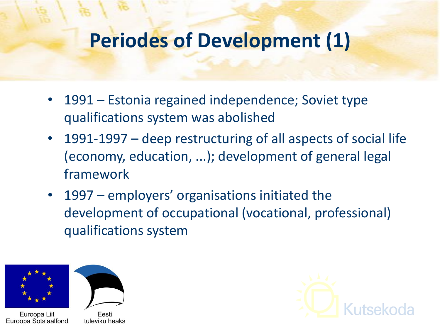#### **Periodes of Development (1)**

- 1991 Estonia regained independence; Soviet type qualifications system was abolished
- 1991-1997 deep restructuring of all aspects of social life (economy, education, ...); development of general legal framework
- 1997 employers' organisations initiated the development of occupational (vocational, professional) qualifications system



Euroopa Liit Euroopa Sotsiaalfond



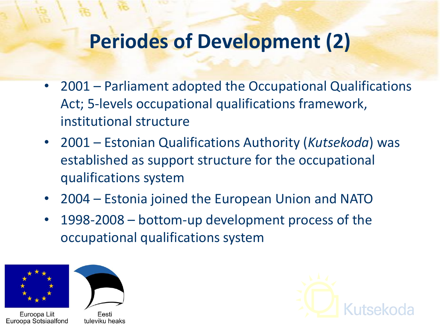#### **Periodes of Development (2)**

- 2001 Parliament adopted the Occupational Qualifications Act; 5-levels occupational qualifications framework, institutional structure
- 2001 Estonian Qualifications Authority (*Kutsekoda*) was established as support structure for the occupational qualifications system
- 2004 Estonia joined the European Union and NATO
- 1998-2008 bottom-up development process of the occupational qualifications system



Euroopa Liit Euroopa Sotsiaalfond



tuleviku heaks

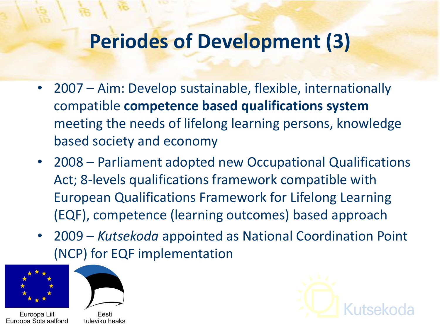#### **Periodes of Development (3)**

- 2007 Aim: Develop sustainable, flexible, internationally compatible **competence based qualifications system**  meeting the needs of lifelong learning persons, knowledge based society and economy
- 2008 Parliament adopted new Occupational Qualifications Act; 8-levels qualifications framework compatible with European Qualifications Framework for Lifelong Learning (EQF), competence (learning outcomes) based approach
- 2009 *Kutsekoda* appointed as National Coordination Point (NCP) for EQF implementation



Euroopa Liit Euroopa Sotsiaalfond



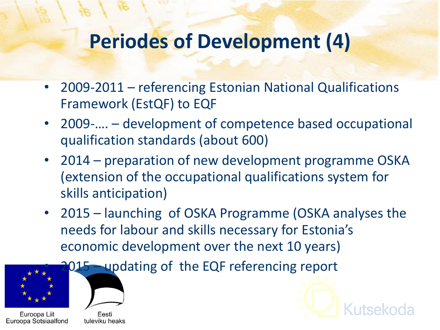#### **Periodes of Development (4)**

- 2009-2011 referencing Estonian National Qualifications Framework (EstQF) to EQF
- 2009-.... development of competence based occupational qualification standards (about 600)
- 2014 preparation of new development programme OSKA (extension of the occupational qualifications system for skills anticipation)
- 2015 launching of OSKA Programme (OSKA analyses the needs for labour and skills necessary for Estonia's economic development over the next 10 years)





Euroopa Liit Euroopa Sotsiaalfond

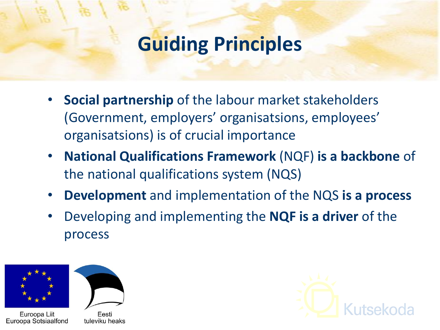#### **Guiding Principles**

- **Social partnership** of the labour market stakeholders (Government, employers' organisatsions, employees' organisatsions) is of crucial importance
- **National Qualifications Framework** (NQF) **is a backbone** of the national qualifications system (NQS)
- **Development** and implementation of the NQS **is a process**
- Developing and implementing the **NQF is a driver** of the process





Euroopa Liit Euroopa Sotsiaalfond

Eesti tuleviku heaks

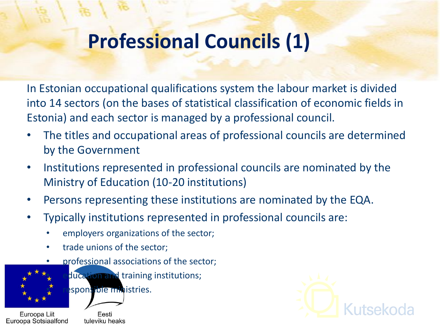## **Professional Councils (1)**

In Estonian occupational qualifications system the labour market is divided into 14 sectors (on the bases of statistical classification of economic fields in Estonia) and each sector is managed by a professional council.

- The titles and occupational areas of professional councils are determined by the Government
- Institutions represented in professional councils are nominated by the Ministry of Education (10-20 institutions)
- Persons representing these institutions are nominated by the EQA.
- Typically institutions represented in professional councils are:
	- employers organizations of the sector;
	- trade unions of the sector;
		- professional associations of the sector;



- ducation and training institutions;
- esponsible ministries.

Euroopa Liit Euroopa Sotsiaalfond

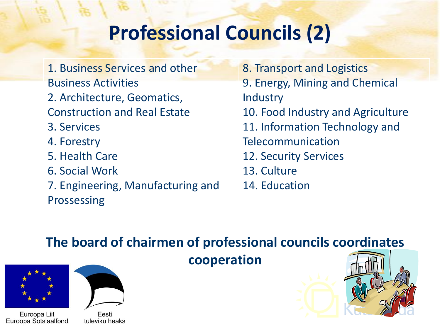## **Professional Councils (2)**

- 1. Business Services and other Business Activities
- 2. Architecture, Geomatics,
- Construction and Real Estate
- 3. Services
- 4. Forestry
- 5. Health Care
- 6. Social Work
- 7. Engineering, Manufacturing and Prossessing
- 8. Transport and Logistics 9. Energy, Mining and Chemical Industry 10. Food Industry and Agriculture 11. Information Technology and Telecommunication 12. Security Services 13. Culture 14. Education

#### **The board of chairmen of professional councils coordinates**





Euroopa Liit Euroopa Sotsiaalfond

Eesti tuleviku heaks

**cooperation** 

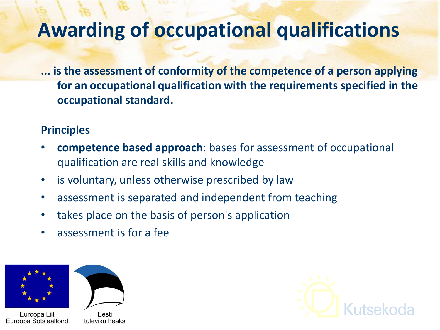#### **Awarding of occupational qualifications**

**... is the assessment of conformity of the competence of a person applying for an occupational qualification with the requirements specified in the occupational standard.**

#### **Principles**

- **competence based approach**: bases for assessment of occupational qualification are real skills and knowledge
- is voluntary, unless otherwise prescribed by law
- assessment is separated and independent from teaching
- takes place on the basis of person's application
- assessment is for a fee





Euroopa Liit Euroopa Sotsiaalfond

Eesti tuleviku heaks

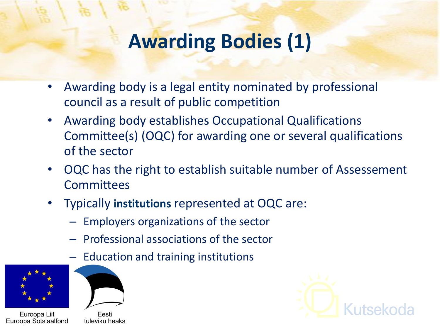## **Awarding Bodies (1)**

- Awarding body is a legal entity nominated by professional council as a result of public competition
- Awarding body establishes Occupational Qualifications Committee(s) (OQC) for awarding one or several qualifications of the sector
- OQC has the right to establish suitable number of Assessement **Committees**
- Typically **institutions** represented at OQC are:
	- Employers organizations of the sector
	- Professional associations of the sector
	- Education and training institutions







tuleviku heaks

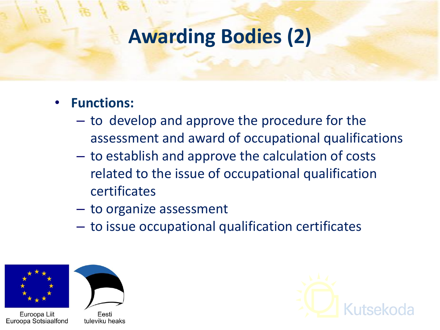#### **Awarding Bodies (2)**

#### • **Functions:**

- to develop and approve the procedure for the assessment and award of occupational qualifications
- to establish and approve the calculation of costs related to the issue of occupational qualification certificates
- to organize assessment
- to issue occupational qualification certificates



Euroopa Liit Euroopa Sotsiaalfond



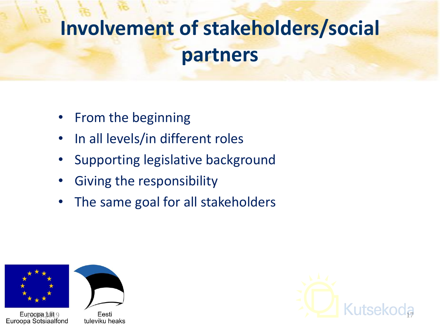# **Involvement of stakeholders/social partners**

- From the beginning
- In all levels/in different roles
- Supporting legislative background
- Giving the responsibility
- The same goal for all stakeholders







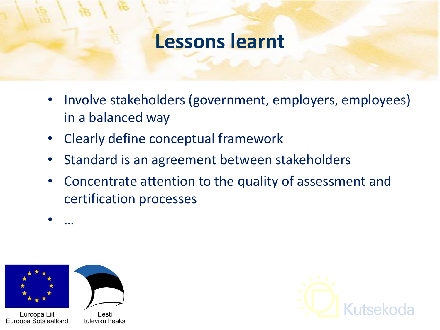#### **Lessons learnt**

- Involve stakeholders (government, employers, employees) in a balanced way
- Clearly define conceptual framework
- Standard is an agreement between stakeholders
- Concentrate attention to the quality of assessment and certification processes

• …



Euroopa Liit Euroopa Sotsiaalfond

Eesti tuleviku heaks